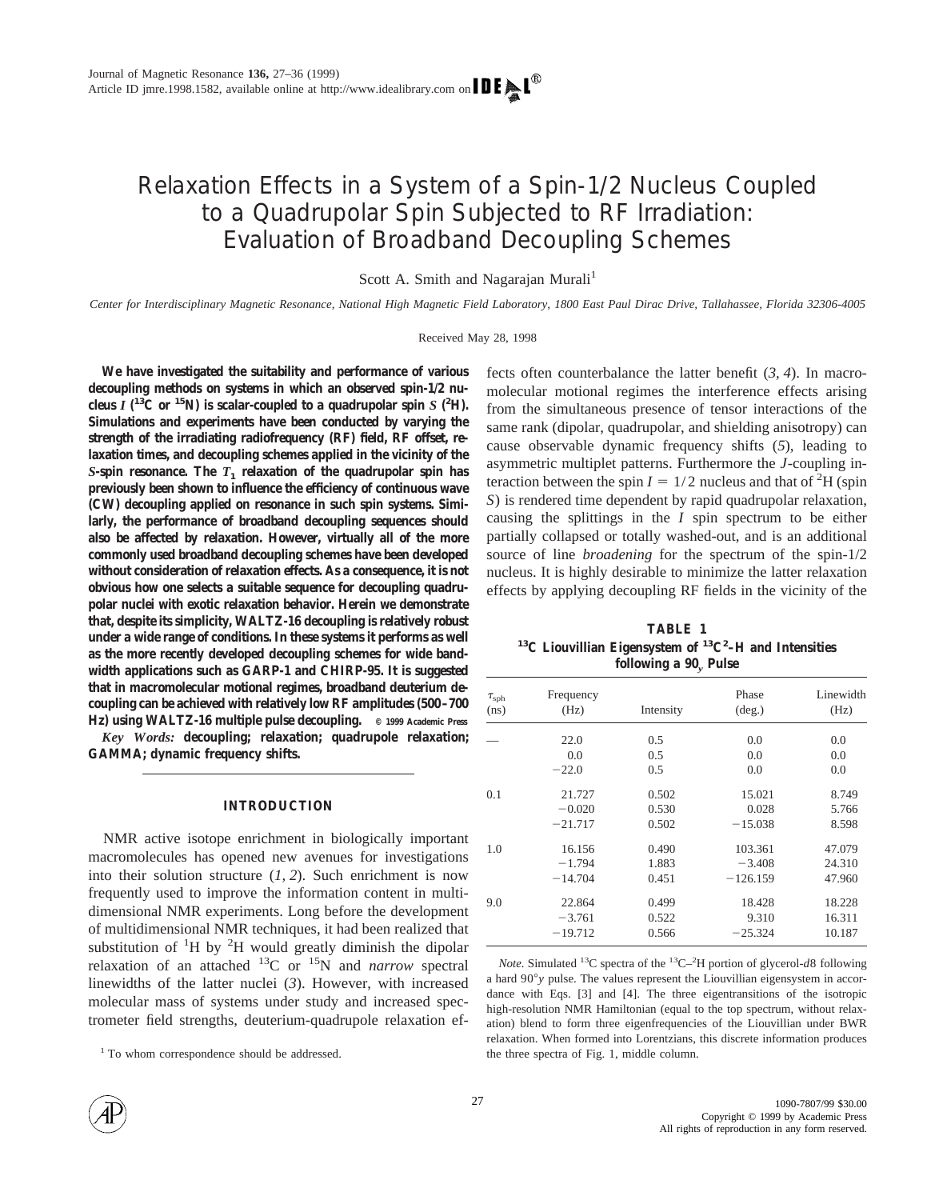# Relaxation Effects in a System of a Spin-1/2 Nucleus Coupled to a Quadrupolar Spin Subjected to RF Irradiation: Evaluation of Broadband Decoupling Schemes

Scott A. Smith and Nagarajan Murali<sup>1</sup>

*Center for Interdisciplinary Magnetic Resonance, National High Magnetic Field Laboratory, 1800 East Paul Dirac Drive, Tallahassee, Florida 32306-4005*

Received May 28, 1998

**We have investigated the suitability and performance of various decoupling methods on systems in which an observed spin-1/2 nu**cleus  $I(^{13}C$  or <sup>15</sup>N) is scalar-coupled to a quadrupolar spin  $S(^{2}H)$ . **Simulations and experiments have been conducted by varying the strength of the irradiating radiofrequency (RF) field, RF offset, relaxation times, and decoupling schemes applied in the vicinity of the** *S***-spin resonance. The** *T***<sup>1</sup> relaxation of the quadrupolar spin has previously been shown to influence the efficiency of continuous wave (CW) decoupling applied on resonance in such spin systems. Similarly, the performance of broadband decoupling sequences should also be affected by relaxation. However, virtually all of the more commonly used broadband decoupling schemes have been developed without consideration of relaxation effects. As a consequence, it is not obvious how one selects a suitable sequence for decoupling quadrupolar nuclei with exotic relaxation behavior. Herein we demonstrate that, despite its simplicity, WALTZ-16 decoupling is relatively robust under a wide range of conditions. In these systems it performs as well as the more recently developed decoupling schemes for wide bandwidth applications such as GARP-1 and CHIRP-95. It is suggested that in macromolecular motional regimes, broadband deuterium decoupling can be achieved with relatively low RF amplitudes (500–700 Hz) using WALTZ-16 multiple pulse decoupling. © 1999 Academic Press**

*Key Words:* **decoupling; relaxation; quadrupole relaxation; GAMMA; dynamic frequency shifts.**

## **INTRODUCTION**

NMR active isotope enrichment in biologically important macromolecules has opened new avenues for investigations into their solution structure (*1, 2*). Such enrichment is now frequently used to improve the information content in multidimensional NMR experiments. Long before the development of multidimensional NMR techniques, it had been realized that substitution of  ${}^{1}H$  by  ${}^{2}H$  would greatly diminish the dipolar relaxation of an attached 13C or 15N and *narrow* spectral linewidths of the latter nuclei (*3*). However, with increased molecular mass of systems under study and increased spectrometer field strengths, deuterium-quadrupole relaxation ef-

<sup>1</sup> To whom correspondence should be addressed.

fects often counterbalance the latter benefit (*3, 4*). In macromolecular motional regimes the interference effects arising from the simultaneous presence of tensor interactions of the same rank (dipolar, quadrupolar, and shielding anisotropy) can cause observable dynamic frequency shifts (*5*), leading to asymmetric multiplet patterns. Furthermore the *J*-coupling interaction between the spin  $I = 1/2$  nucleus and that of <sup>2</sup>H (spin *S*) is rendered time dependent by rapid quadrupolar relaxation, causing the splittings in the *I* spin spectrum to be either partially collapsed or totally washed-out, and is an additional source of line *broadening* for the spectrum of the spin-1/2 nucleus. It is highly desirable to minimize the latter relaxation effects by applying decoupling RF fields in the vicinity of the

**TABLE 1 13C Liouvillian Eigensystem of 13C2 –H and Intensities following a 90***<sup>y</sup>* **Pulse**

| $\tau_{\mathrm{sph}}$<br>(ns) | Frequency<br>(Hz) |           | Phase<br>$(\text{deg.})$ | Linewidth<br>(Hz) |
|-------------------------------|-------------------|-----------|--------------------------|-------------------|
|                               |                   | Intensity |                          |                   |
|                               | 22.0              | 0.5       | 0.0                      | 0.0               |
|                               | 0.0               | 0.5       | 0.0                      | 0.0               |
|                               | $-22.0$           | 0.5       | 0.0                      | 0.0               |
| 0.1                           | 21.727            | 0.502     | 15.021                   | 8.749             |
|                               | $-0.020$          | 0.530     | 0.028                    | 5.766             |
|                               | $-21.717$         | 0.502     | $-15.038$                | 8.598             |
| 1.0                           | 16.156            | 0.490     | 103.361                  | 47.079            |
|                               | $-1.794$          | 1.883     | $-3.408$                 | 24.310            |
|                               | $-14.704$         | 0.451     | $-126.159$               | 47.960            |
| 9.0                           | 22.864            | 0.499     | 18.428                   | 18.228            |
|                               | $-3.761$          | 0.522     | 9.310                    | 16.311            |
|                               | $-19.712$         | 0.566     | $-25.324$                | 10.187            |

Note. Simulated <sup>13</sup>C spectra of the <sup>13</sup>C<sup>-2</sup>H portion of glycerol-d8 following a hard 90°<sub>y</sub> pulse. The values represent the Liouvillian eigensystem in accordance with Eqs. [3] and [4]. The three eigentransitions of the isotropic high-resolution NMR Hamiltonian (equal to the top spectrum, without relaxation) blend to form three eigenfrequencies of the Liouvillian under BWR relaxation. When formed into Lorentzians, this discrete information produces the three spectra of Fig. 1, middle column.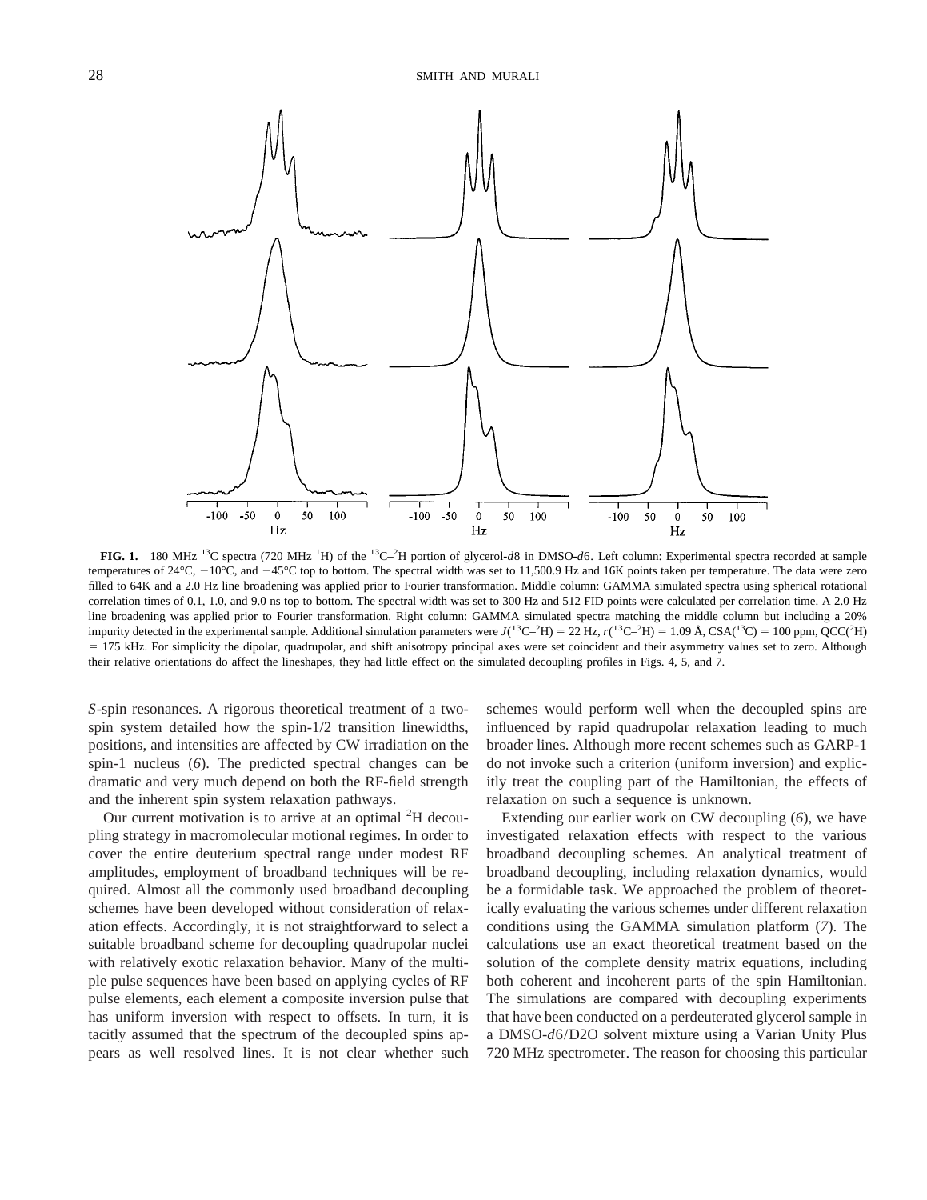

**FIG. 1.** 180 MHz 13C spectra (720 MHz <sup>1</sup> H) of the 13C–2 H portion of glycerol-*d*8 in DMSO-*d*6. Left column: Experimental spectra recorded at sample temperatures of  $24^{\circ}$ C,  $-10^{\circ}$ C, and  $-45^{\circ}$ C top to bottom. The spectral width was set to 11,500.9 Hz and 16K points taken per temperature. The data were zero filled to 64K and a 2.0 Hz line broadening was applied prior to Fourier transformation. Middle column: GAMMA simulated spectra using spherical rotational correlation times of 0.1, 1.0, and 9.0 ns top to bottom. The spectral width was set to 300 Hz and 512 FID points were calculated per correlation time. A 2.0 Hz line broadening was applied prior to Fourier transformation. Right column: GAMMA simulated spectra matching the middle column but including a 20% impurity detected in the experimental sample. Additional simulation parameters were  $J(^{13}C-\hat{H}) = 22$  Hz,  $r(^{13}C-\hat{H}) = 1.09$  Å, CSA( $^{13}C$ ) = 100 ppm, QCC( $^{2}H$ ) 5 175 kHz. For simplicity the dipolar, quadrupolar, and shift anisotropy principal axes were set coincident and their asymmetry values set to zero. Although their relative orientations do affect the lineshapes, they had little effect on the simulated decoupling profiles in Figs. 4, 5, and 7.

*S*-spin resonances. A rigorous theoretical treatment of a twospin system detailed how the spin-1/2 transition linewidths, positions, and intensities are affected by CW irradiation on the spin-1 nucleus (*6*). The predicted spectral changes can be dramatic and very much depend on both the RF-field strength and the inherent spin system relaxation pathways.

Our current motivation is to arrive at an optimal <sup>2</sup>H decoupling strategy in macromolecular motional regimes. In order to cover the entire deuterium spectral range under modest RF amplitudes, employment of broadband techniques will be required. Almost all the commonly used broadband decoupling schemes have been developed without consideration of relaxation effects. Accordingly, it is not straightforward to select a suitable broadband scheme for decoupling quadrupolar nuclei with relatively exotic relaxation behavior. Many of the multiple pulse sequences have been based on applying cycles of RF pulse elements, each element a composite inversion pulse that has uniform inversion with respect to offsets. In turn, it is tacitly assumed that the spectrum of the decoupled spins appears as well resolved lines. It is not clear whether such

schemes would perform well when the decoupled spins are influenced by rapid quadrupolar relaxation leading to much broader lines. Although more recent schemes such as GARP-1 do not invoke such a criterion (uniform inversion) and explicitly treat the coupling part of the Hamiltonian, the effects of relaxation on such a sequence is unknown.

Extending our earlier work on CW decoupling (*6*), we have investigated relaxation effects with respect to the various broadband decoupling schemes. An analytical treatment of broadband decoupling, including relaxation dynamics, would be a formidable task. We approached the problem of theoretically evaluating the various schemes under different relaxation conditions using the GAMMA simulation platform (*7*). The calculations use an exact theoretical treatment based on the solution of the complete density matrix equations, including both coherent and incoherent parts of the spin Hamiltonian. The simulations are compared with decoupling experiments that have been conducted on a perdeuterated glycerol sample in a DMSO-*d*6/D2O solvent mixture using a Varian Unity Plus 720 MHz spectrometer. The reason for choosing this particular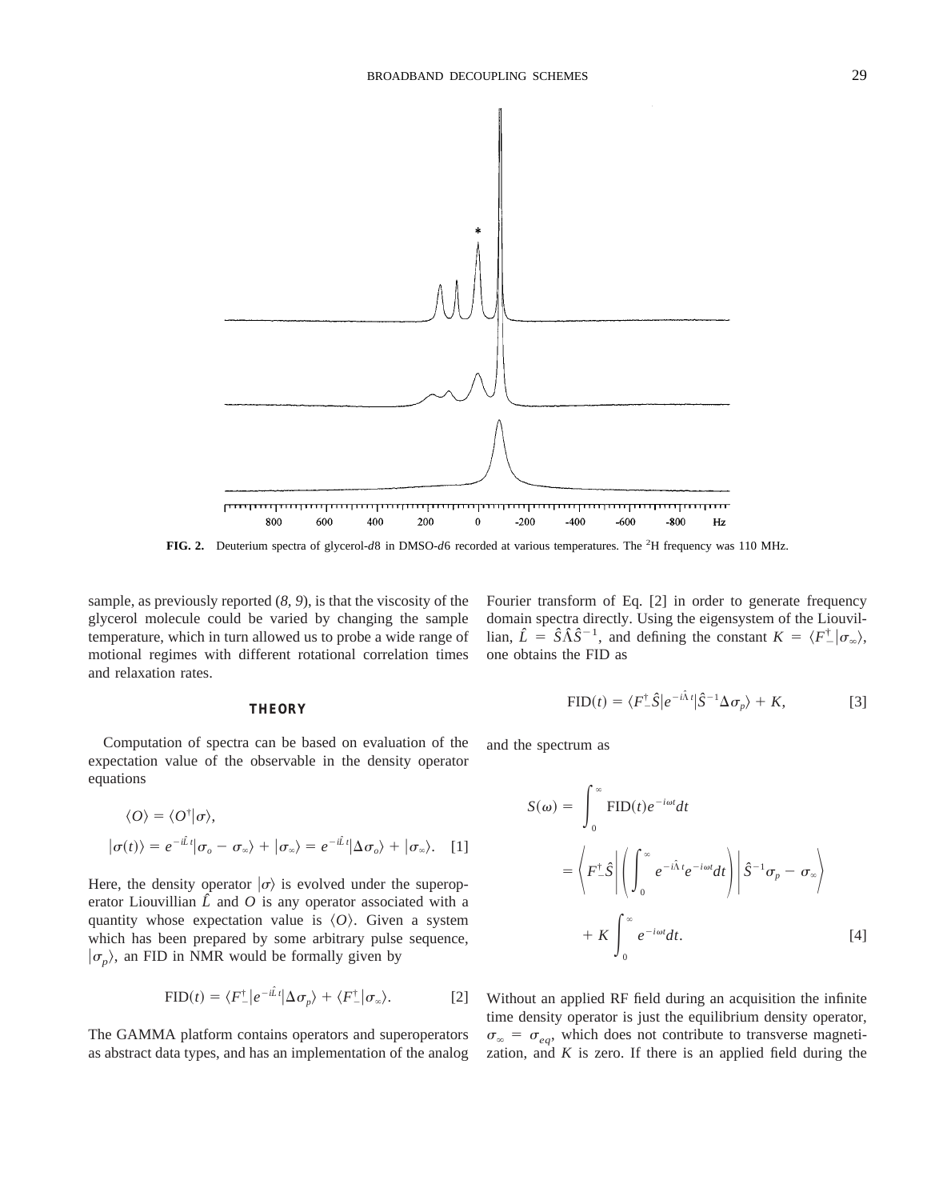

**FIG. 2.** Deuterium spectra of glycerol-*d*8 in DMSO-*d*6 recorded at various temperatures. The <sup>2</sup> H frequency was 110 MHz.

sample, as previously reported (*8, 9*), is that the viscosity of the glycerol molecule could be varied by changing the sample temperature, which in turn allowed us to probe a wide range of motional regimes with different rotational correlation times and relaxation rates.

### **THEORY**

Computation of spectra can be based on evaluation of the expectation value of the observable in the density operator equations

$$
\langle O \rangle = \langle O^{\dagger} | \sigma \rangle,
$$
  

$$
|\sigma(t) \rangle = e^{-i\hat{L}t} |\sigma_o - \sigma_{\infty} \rangle + |\sigma_{\infty} \rangle = e^{-i\hat{L}t} |\Delta \sigma_o \rangle + |\sigma_{\infty} \rangle.
$$
 [1]

Here, the density operator  $\ket{\sigma}$  is evolved under the superoperator Liouvillian  $\hat{L}$  and  $\hat{O}$  is any operator associated with a quantity whose expectation value is  $\langle O \rangle$ . Given a system which has been prepared by some arbitrary pulse sequence,  $|\sigma_p\rangle$ , an FID in NMR would be formally given by

$$
\text{FID}(t) = \langle F_{-}^{\dagger} | e^{-i\hat{L}t} | \Delta \sigma_{p} \rangle + \langle F_{-}^{\dagger} | \sigma_{\infty} \rangle.
$$
 [2]

The GAMMA platform contains operators and superoperators as abstract data types, and has an implementation of the analog

Fourier transform of Eq. [2] in order to generate frequency domain spectra directly. Using the eigensystem of the Liouvillian,  $\hat{L} = \hat{S}\hat{\Lambda}\hat{S}^{-1}$ , and defining the constant  $K = \langle F_-^{\dagger} | \sigma_{\infty} \rangle$ , one obtains the FID as

$$
\text{FID}(t) = \langle F^{\dagger} \hat{S} | e^{-i\hat{\Lambda}t} | \hat{S}^{-1} \Delta \sigma_p \rangle + K, \tag{3}
$$

and the spectrum as

$$
S(\omega) = \int_0^{\infty} \text{FID}(t) e^{-i\omega t} dt
$$
  
=  $\left\langle F^{\dagger} \hat{S} \middle| \left( \int_0^{\infty} e^{-i\hat{\Lambda}t} e^{-i\omega t} dt \right) \middle| \hat{S}^{-1} \sigma_p - \sigma_{\infty} \right\rangle$   
+  $K \int_0^{\infty} e^{-i\omega t} dt$ . [4]

Without an applied RF field during an acquisition the infinite time density operator is just the equilibrium density operator,  $\sigma_{\infty} = \sigma_{ea}$ , which does not contribute to transverse magnetization, and  $K$  is zero. If there is an applied field during the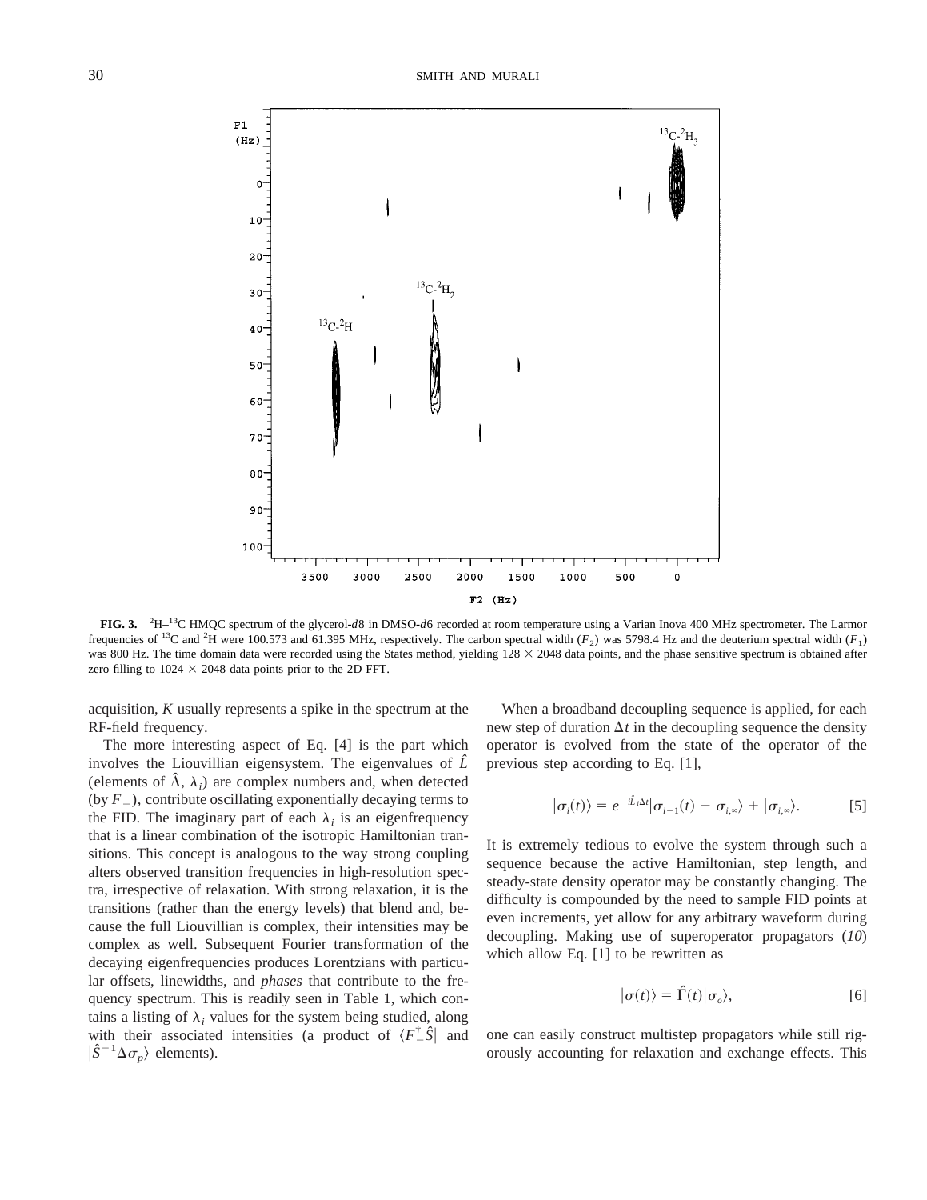

**FIG. 3.** <sup>2</sup> H–13C HMQC spectrum of the glycerol-*d*8 in DMSO-*d*6 recorded at room temperature using a Varian Inova 400 MHz spectrometer. The Larmor frequencies of <sup>13</sup>C and <sup>2</sup>H were 100.573 and 61.395 MHz, respectively. The carbon spectral width ( $F_2$ ) was 5798.4 Hz and the deuterium spectral width ( $F_1$ ) was 800 Hz. The time domain data were recorded using the States method, yielding  $128 \times 2048$  data points, and the phase sensitive spectrum is obtained after zero filling to  $1024 \times 2048$  data points prior to the 2D FFT.

acquisition, *K* usually represents a spike in the spectrum at the RF-field frequency.

The more interesting aspect of Eq. [4] is the part which involves the Liouvillian eigensystem. The eigenvalues of *Lˆ* (elements of  $\hat{\Lambda}$ ,  $\lambda$ <sub>i</sub>) are complex numbers and, when detected (by  $F_{-}$ ), contribute oscillating exponentially decaying terms to the FID. The imaginary part of each  $\lambda_i$  is an eigenfrequency that is a linear combination of the isotropic Hamiltonian transitions. This concept is analogous to the way strong coupling alters observed transition frequencies in high-resolution spectra, irrespective of relaxation. With strong relaxation, it is the transitions (rather than the energy levels) that blend and, because the full Liouvillian is complex, their intensities may be complex as well. Subsequent Fourier transformation of the decaying eigenfrequencies produces Lorentzians with particular offsets, linewidths, and *phases* that contribute to the frequency spectrum. This is readily seen in Table 1, which contains a listing of  $\lambda_i$  values for the system being studied, along with their associated intensities (a product of  $\langle F^{\dagger} \hat{S} |$  and  $|\hat{S}^{-1}\Delta\sigma_p\rangle$  elements).

When a broadband decoupling sequence is applied, for each new step of duration  $\Delta t$  in the decoupling sequence the density operator is evolved from the state of the operator of the previous step according to Eq. [1],

$$
|\sigma_i(t)\rangle = e^{-i\hat{L}_i\Delta t}|\sigma_{i-1}(t) - \sigma_{i,\infty}\rangle + |\sigma_{i,\infty}\rangle.
$$
 [5]

It is extremely tedious to evolve the system through such a sequence because the active Hamiltonian, step length, and steady-state density operator may be constantly changing. The difficulty is compounded by the need to sample FID points at even increments, yet allow for any arbitrary waveform during decoupling. Making use of superoperator propagators (*10*) which allow Eq. [1] to be rewritten as

$$
|\sigma(t)\rangle = \hat{\Gamma}(t)|\sigma_o\rangle, \qquad [6]
$$

one can easily construct multistep propagators while still rigorously accounting for relaxation and exchange effects. This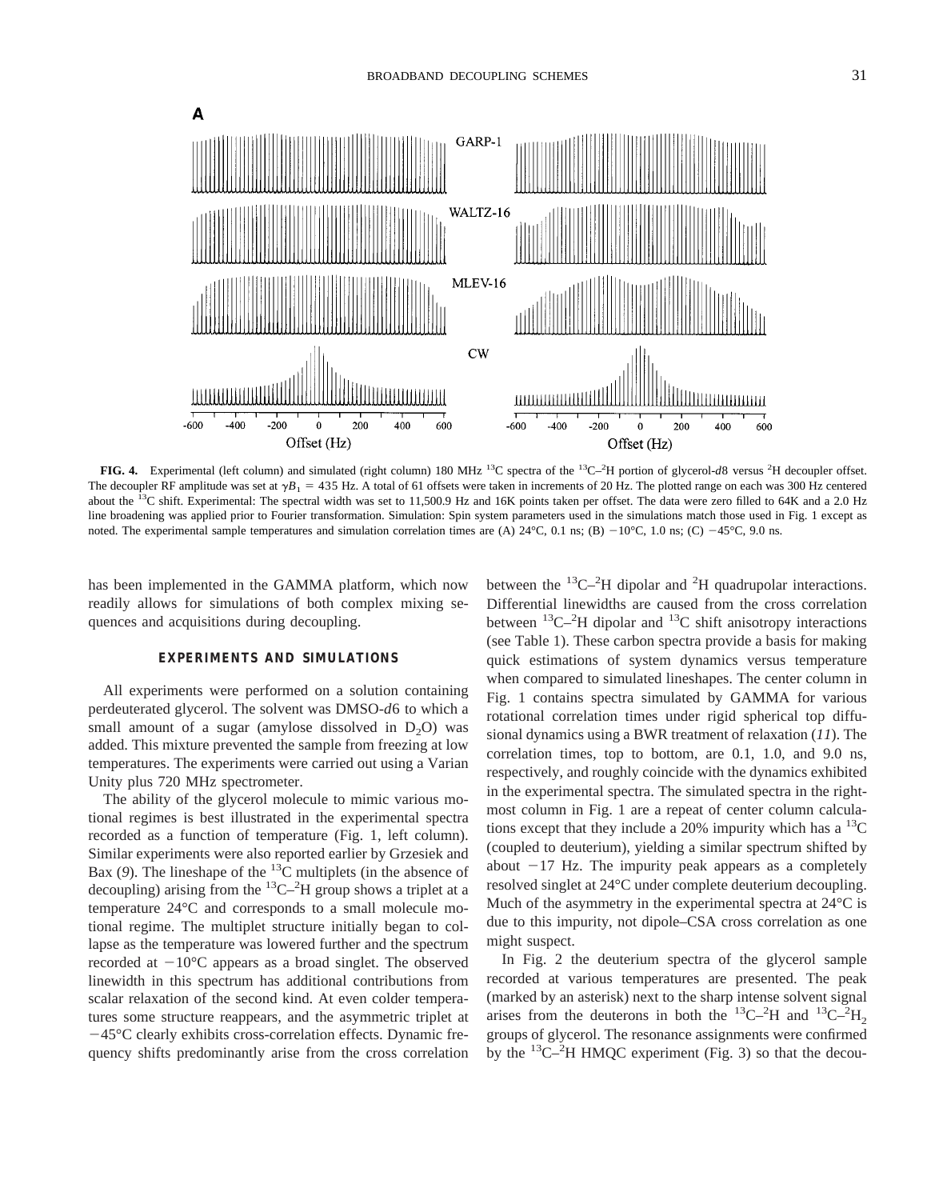

FIG. 4. Experimental (left column) and simulated (right column) 180 MHz <sup>13</sup>C spectra of the <sup>13</sup>C<sup>-2</sup>H portion of glycerol-*d8* versus <sup>2</sup>H decoupler offset. The decoupler RF amplitude was set at  $\gamma B_1 = 435$  Hz. A total of 61 offsets were taken in increments of 20 Hz. The plotted range on each was 300 Hz centered about the <sup>13</sup>C shift. Experimental: The spectral width was set to 11,500.9 Hz and 16K points taken per offset. The data were zero filled to 64K and a 2.0 Hz line broadening was applied prior to Fourier transformation. Simulation: Spin system parameters used in the simulations match those used in Fig. 1 except as noted. The experimental sample temperatures and simulation correlation times are (A)  $24^{\circ}$ C, 0.1 ns; (B)  $-10^{\circ}$ C, 1.0 ns; (C)  $-45^{\circ}$ C, 9.0 ns.

has been implemented in the GAMMA platform, which now readily allows for simulations of both complex mixing sequences and acquisitions during decoupling.

# **EXPERIMENTS AND SIMULATIONS**

All experiments were performed on a solution containing perdeuterated glycerol. The solvent was DMSO-*d*6 to which a small amount of a sugar (amylose dissolved in  $D_2O$ ) was added. This mixture prevented the sample from freezing at low temperatures. The experiments were carried out using a Varian Unity plus 720 MHz spectrometer.

The ability of the glycerol molecule to mimic various motional regimes is best illustrated in the experimental spectra recorded as a function of temperature (Fig. 1, left column). Similar experiments were also reported earlier by Grzesiek and Bax (9). The lineshape of the  ${}^{13}C$  multiplets (in the absence of decoupling) arising from the  ${}^{13}C-{}^{2}H$  group shows a triplet at a temperature 24°C and corresponds to a small molecule motional regime. The multiplet structure initially began to collapse as the temperature was lowered further and the spectrum recorded at  $-10^{\circ}$ C appears as a broad singlet. The observed linewidth in this spectrum has additional contributions from scalar relaxation of the second kind. At even colder temperatures some structure reappears, and the asymmetric triplet at  $-45^{\circ}$ C clearly exhibits cross-correlation effects. Dynamic frequency shifts predominantly arise from the cross correlation

between the  ${}^{13}$ C $-{}^{2}$ H dipolar and  ${}^{2}$ H quadrupolar interactions. Differential linewidths are caused from the cross correlation between  ${}^{13}$ C $-{}^{2}$ H dipolar and  ${}^{13}$ C shift anisotropy interactions (see Table 1). These carbon spectra provide a basis for making quick estimations of system dynamics versus temperature when compared to simulated lineshapes. The center column in Fig. 1 contains spectra simulated by GAMMA for various rotational correlation times under rigid spherical top diffusional dynamics using a BWR treatment of relaxation (*11*). The correlation times, top to bottom, are 0.1, 1.0, and 9.0 ns, respectively, and roughly coincide with the dynamics exhibited in the experimental spectra. The simulated spectra in the rightmost column in Fig. 1 are a repeat of center column calculations except that they include a 20% impurity which has a  ${}^{13}C$ (coupled to deuterium), yielding a similar spectrum shifted by about  $-17$  Hz. The impurity peak appears as a completely resolved singlet at 24°C under complete deuterium decoupling. Much of the asymmetry in the experimental spectra at 24 °C is due to this impurity, not dipole–CSA cross correlation as one might suspect.

In Fig. 2 the deuterium spectra of the glycerol sample recorded at various temperatures are presented. The peak (marked by an asterisk) next to the sharp intense solvent signal arises from the deuterons in both the <sup>13</sup>C-<sup>2</sup>H and <sup>13</sup>C-<sup>2</sup>H<sub>2</sub> groups of glycerol. The resonance assignments were confirmed by the  ${}^{13}$ C $-{}^{2}$ H HMQC experiment (Fig. 3) so that the decou-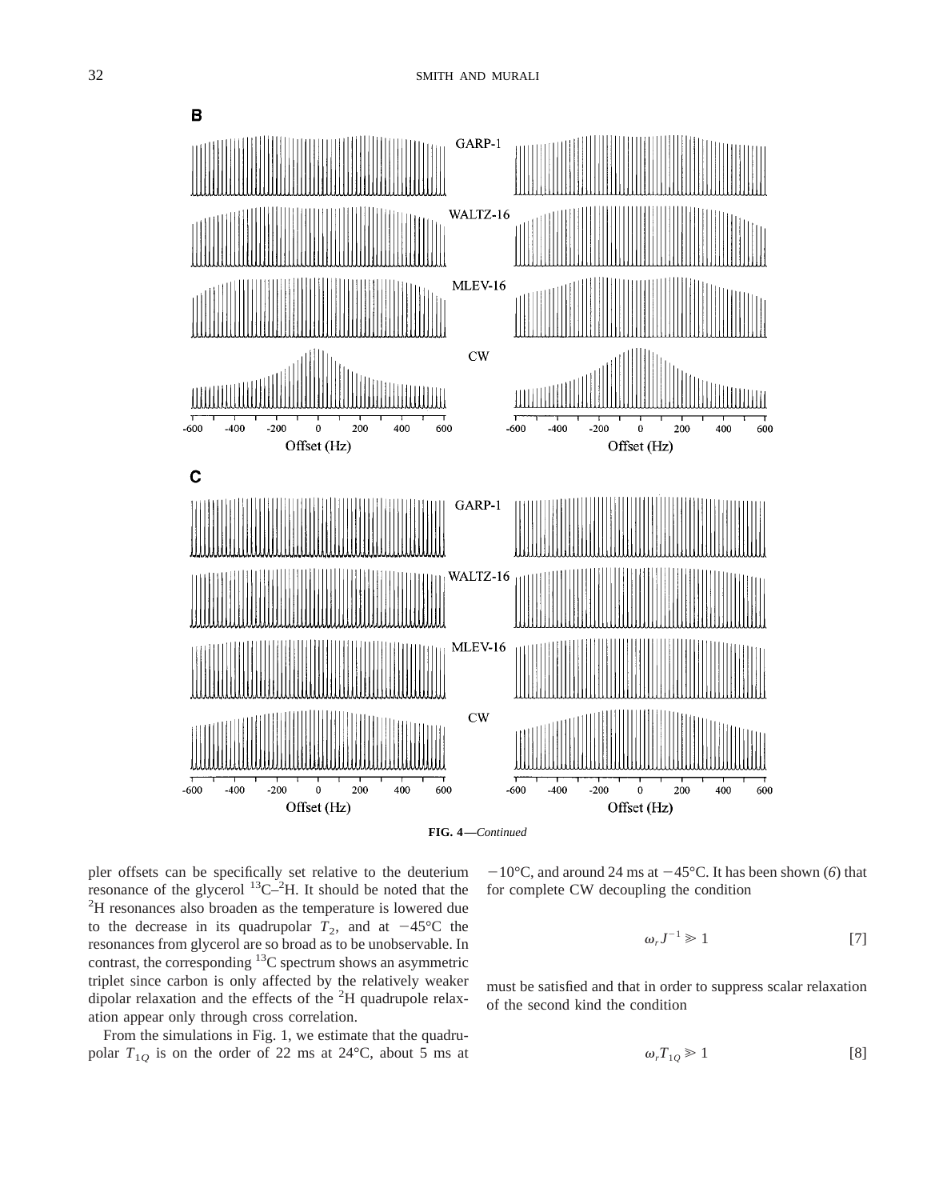



pler offsets can be specifically set relative to the deuterium resonance of the glycerol  ${}^{13}C^{-2}H$ . It should be noted that the  ${}^{2}H$  resonances also broaden as the temperature is lowered due <sup>2</sup>H resonances also broaden as the temperature is lowered due to the decrease in its quadrupolar  $T_2$ , and at  $-45^{\circ}$ C the resonances from glycerol are so broad as to be unobservable. In contrast, the corresponding  ${}^{13}C$  spectrum shows an asymmetric triplet since carbon is only affected by the relatively weaker dipolar relaxation and the effects of the <sup>2</sup>H quadrupole relaxation appear only through cross correlation.

From the simulations in Fig. 1, we estimate that the quadrupolar  $T_{1Q}$  is on the order of 22 ms at 24 $^{\circ}$ C, about 5 ms at  $-10^{\circ}$ C, and around 24 ms at  $-45^{\circ}$ C. It has been shown (6) that for complete CW decoupling the condition

$$
\omega_r J^{-1} \geq 1 \tag{7}
$$

must be satisfied and that in order to suppress scalar relaxation of the second kind the condition

$$
\omega_r T_{1Q} \geq 1 \tag{8}
$$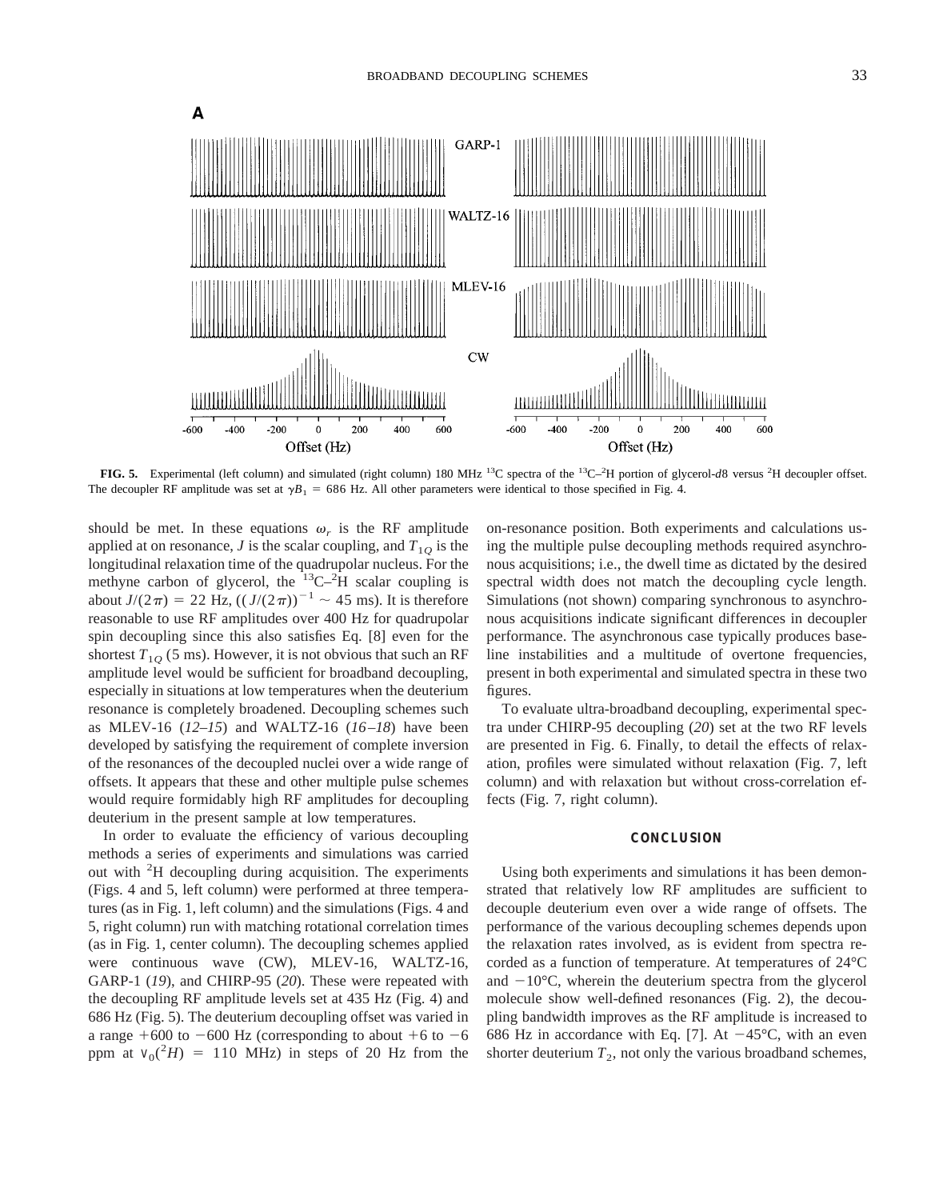

FIG. 5. Experimental (left column) and simulated (right column) 180 MHz <sup>13</sup>C spectra of the <sup>13</sup>C<sup>-2</sup>H portion of glycerol-*d8* versus <sup>2</sup>H decoupler offset. The decoupler RF amplitude was set at  $\gamma B_1 = 686$  Hz. All other parameters were identical to those specified in Fig. 4.

should be met. In these equations  $\omega_r$  is the RF amplitude applied at on resonance, *J* is the scalar coupling, and  $T_{10}$  is the longitudinal relaxation time of the quadrupolar nucleus. For the methyne carbon of glycerol, the  $13C^{-2}H$  scalar coupling is about  $J/(2\pi) = 22$  Hz,  $((J/(2\pi))^{-1} \sim 45$  ms). It is therefore reasonable to use RF amplitudes over 400 Hz for quadrupolar spin decoupling since this also satisfies Eq. [8] even for the shortest  $T_{10}$  (5 ms). However, it is not obvious that such an RF amplitude level would be sufficient for broadband decoupling, especially in situations at low temperatures when the deuterium resonance is completely broadened. Decoupling schemes such as MLEV-16 (*12–15*) and WALTZ-16 (*16–18*) have been developed by satisfying the requirement of complete inversion of the resonances of the decoupled nuclei over a wide range of offsets. It appears that these and other multiple pulse schemes would require formidably high RF amplitudes for decoupling deuterium in the present sample at low temperatures.

In order to evaluate the efficiency of various decoupling methods a series of experiments and simulations was carried out with <sup>2</sup>H decoupling during acquisition. The experiments (Figs. 4 and 5, left column) were performed at three temperatures (as in Fig. 1, left column) and the simulations (Figs. 4 and 5, right column) run with matching rotational correlation times (as in Fig. 1, center column). The decoupling schemes applied were continuous wave (CW), MLEV-16, WALTZ-16, GARP-1 (*19*), and CHIRP-95 (*20*). These were repeated with the decoupling RF amplitude levels set at 435 Hz (Fig. 4) and 686 Hz (Fig. 5). The deuterium decoupling offset was varied in a range  $+600$  to  $-600$  Hz (corresponding to about  $+6$  to  $-6$ ppm at  $v_0(^2H) = 110$  MHz) in steps of 20 Hz from the

on-resonance position. Both experiments and calculations using the multiple pulse decoupling methods required asynchronous acquisitions; i.e., the dwell time as dictated by the desired spectral width does not match the decoupling cycle length. Simulations (not shown) comparing synchronous to asynchronous acquisitions indicate significant differences in decoupler performance. The asynchronous case typically produces baseline instabilities and a multitude of overtone frequencies, present in both experimental and simulated spectra in these two figures.

To evaluate ultra-broadband decoupling, experimental spectra under CHIRP-95 decoupling (*20*) set at the two RF levels are presented in Fig. 6. Finally, to detail the effects of relaxation, profiles were simulated without relaxation (Fig. 7, left column) and with relaxation but without cross-correlation effects (Fig. 7, right column).

#### **CONCLUSION**

Using both experiments and simulations it has been demonstrated that relatively low RF amplitudes are sufficient to decouple deuterium even over a wide range of offsets. The performance of the various decoupling schemes depends upon the relaxation rates involved, as is evident from spectra recorded as a function of temperature. At temperatures of 24°C and  $-10^{\circ}$ C, wherein the deuterium spectra from the glycerol molecule show well-defined resonances (Fig. 2), the decoupling bandwidth improves as the RF amplitude is increased to 686 Hz in accordance with Eq. [7]. At  $-45^{\circ}$ C, with an even shorter deuterium  $T_2$ , not only the various broadband schemes,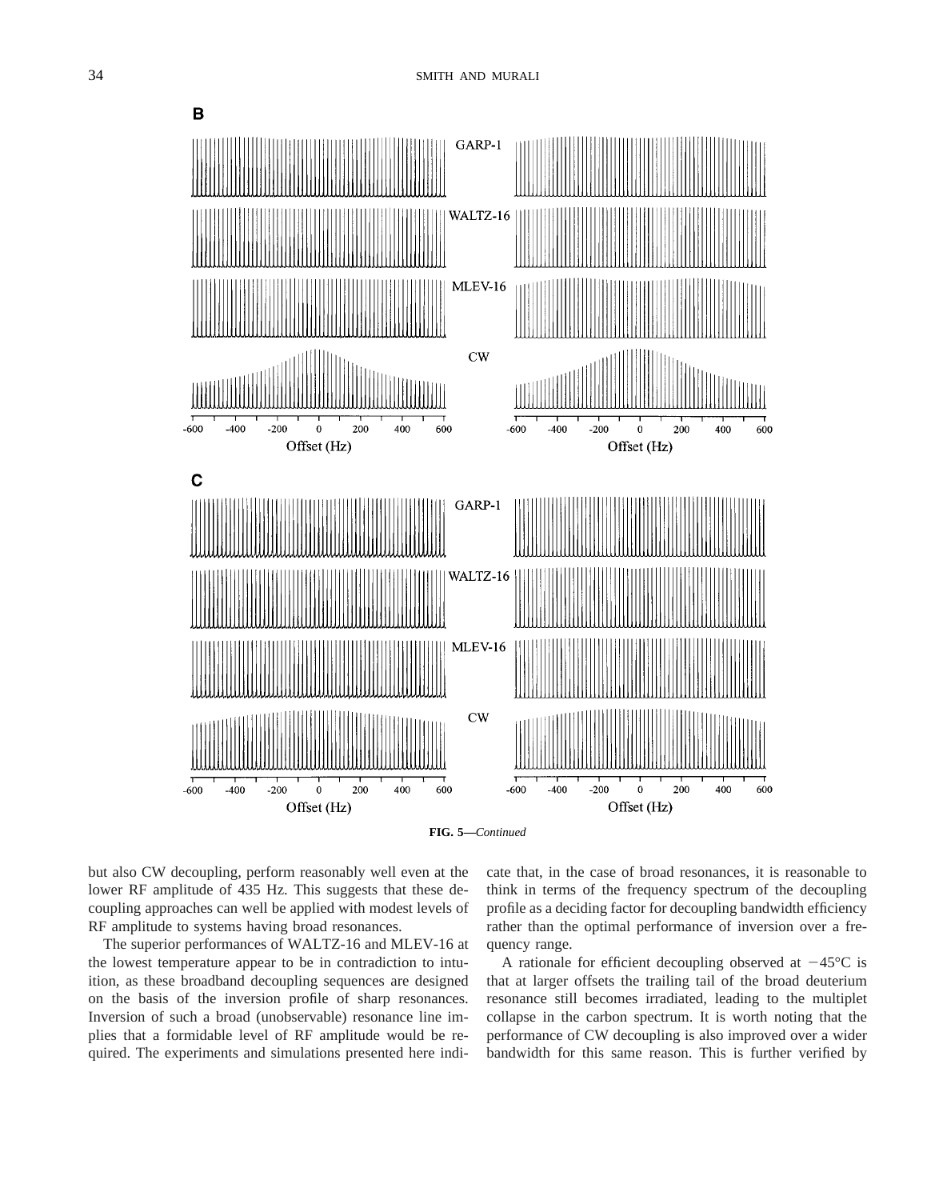

**FIG. 5—***Continued*

but also CW decoupling, perform reasonably well even at the lower RF amplitude of 435 Hz. This suggests that these decoupling approaches can well be applied with modest levels of RF amplitude to systems having broad resonances.

The superior performances of WALTZ-16 and MLEV-16 at the lowest temperature appear to be in contradiction to intuition, as these broadband decoupling sequences are designed on the basis of the inversion profile of sharp resonances. Inversion of such a broad (unobservable) resonance line implies that a formidable level of RF amplitude would be required. The experiments and simulations presented here indicate that, in the case of broad resonances, it is reasonable to think in terms of the frequency spectrum of the decoupling profile as a deciding factor for decoupling bandwidth efficiency rather than the optimal performance of inversion over a frequency range.

A rationale for efficient decoupling observed at  $-45^{\circ}$ C is that at larger offsets the trailing tail of the broad deuterium resonance still becomes irradiated, leading to the multiplet collapse in the carbon spectrum. It is worth noting that the performance of CW decoupling is also improved over a wider bandwidth for this same reason. This is further verified by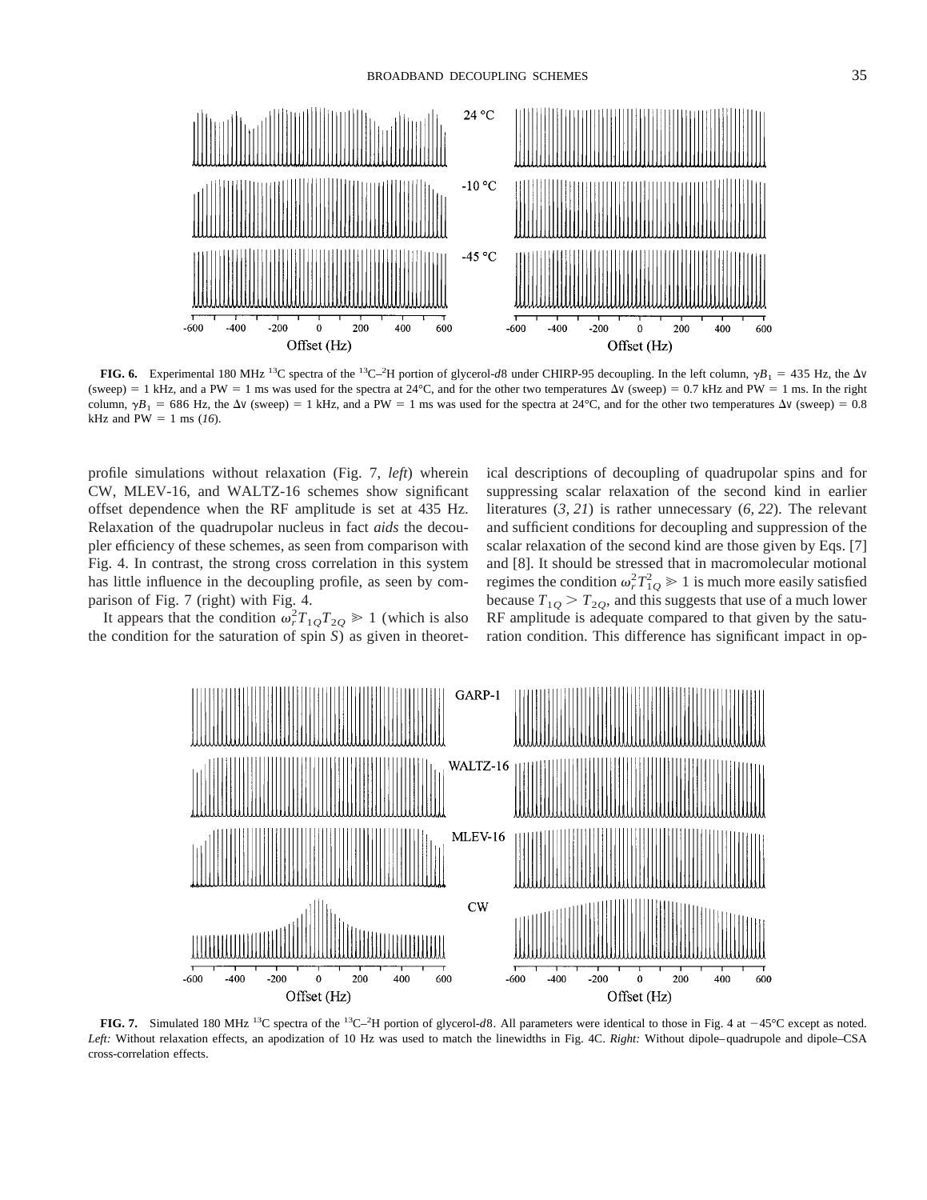



**FIG. 6.** Experimental 180 MHz <sup>13</sup>C spectra of the <sup>13</sup>C–<sup>2</sup>H portion of glycerol-*d*8 under CHIRP-95 decoupling. In the left column,  $\gamma B_1 = 435$  Hz, the  $\Delta V$ (sweep) = 1 kHz, and a PW = 1 ms was used for the spectra at 24°C, and for the other two temperatures  $\Delta v$  (sweep) = 0.7 kHz and PW = 1 ms. In the right column,  $\gamma B_1 = 686$  Hz, the  $\Delta v$  (sweep) = 1 kHz, and a PW = 1 ms was used for the spectra at 24°C, and for the other two temperatures  $\Delta v$  (sweep) = 0.8 kHz and  $PW = 1$  ms ( $16$ ).

profile simulations without relaxation (Fig. 7, *left*) wherein CW, MLEV-16, and WALTZ-16 schemes show significant offset dependence when the RF amplitude is set at 435 Hz. Relaxation of the quadrupolar nucleus in fact *aids* the decoupler efficiency of these schemes, as seen from comparison with Fig. 4. In contrast, the strong cross correlation in this system has little influence in the decoupling profile, as seen by comparison of Fig. 7 (right) with Fig. 4.

It appears that the condition  $\omega_r^2 T_{1Q} T_{2Q} \ge 1$  (which is also the condition for the saturation of spin  $\overline{S}$ ) as given in theoretical descriptions of decoupling of quadrupolar spins and for suppressing scalar relaxation of the second kind in earlier literatures (*3, 21*) is rather unnecessary (*6, 22*). The relevant and sufficient conditions for decoupling and suppression of the scalar relaxation of the second kind are those given by Eqs. [7] and [8]. It should be stressed that in macromolecular motional regimes the condition  $\omega_r^2 T_{1Q}^2 \ge 1$  is much more easily satisfied because  $T_{10}$  >  $T_{20}$ , and this suggests that use of a much lower RF amplitude is adequate compared to that given by the saturation condition. This difference has significant impact in op-



**FIG. 7.** Simulated 180 MHz <sup>13</sup>C spectra of the <sup>13</sup>C-<sup>2</sup>H portion of glycerol-*d*8. All parameters were identical to those in Fig. 4 at -45°C except as noted. *Left:* Without relaxation effects, an apodization of 10 Hz was used to match the linewidths in Fig. 4C. *Right:* Without dipole–quadrupole and dipole–CSA cross-correlation effects.